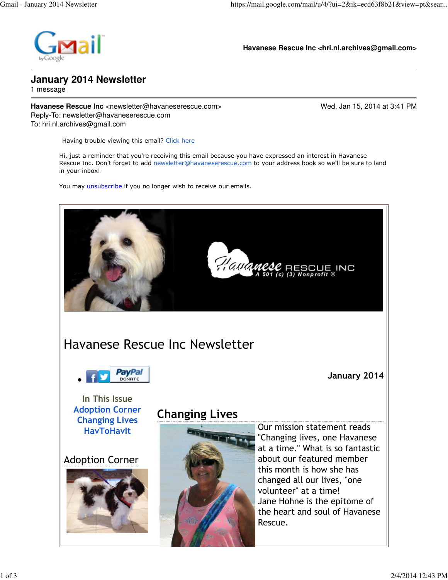

**Havanese Rescue Inc <hri.nl.archives@gmail.com>**

## **January 2014 Newsletter**

1 message

**Havanese Rescue Inc** <newsletter@havaneserescue.com> Wed, Jan 15, 2014 at 3:41 PM Reply-To: newsletter@havaneserescue.com To: hri.nl.archives@gmail.com

Having trouble viewing this email? Click here

Hi, just a reminder that you're receiving this email because you have expressed an interest in Havanese Rescue Inc. Don't forget to add newsletter@havaneserescue.com to your address book so we'll be sure to land in your inbox!

You may unsubscribe if you no longer wish to receive our emails.

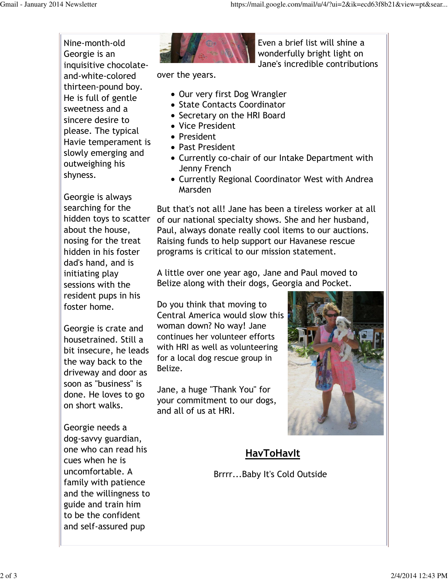Nine-month-old Georgie is an inquisitive chocolateand-white-colored thirteen-pound boy. He is full of gentle sweetness and a sincere desire to please. The typical Havie temperament is slowly emerging and outweighing his shyness.

Georgie is always searching for the about the house, nosing for the treat hidden in his foster dad's hand, and is initiating play sessions with the resident pups in his foster home.

Georgie is crate and housetrained. Still a bit insecure, he leads the way back to the driveway and door as soon as "business" is done. He loves to go on short walks.

Georgie needs a dog-savvy guardian, one who can read his cues when he is uncomfortable. A family with patience and the willingness to guide and train him to be the confident and self-assured pup



Even a brief list will shine a wonderfully bright light on Jane's incredible contributions

over the years.

- Our very first Dog Wrangler
- State Contacts Coordinator
- Secretary on the HRI Board
- Vice President
- President
- Past President
- Currently co-chair of our Intake Department with Jenny French
- Currently Regional Coordinator West with Andrea Marsden

hidden toys to scatter of our national specialty shows. She and her husband, But that's not all! Jane has been a tireless worker at all Paul, always donate really cool items to our auctions. Raising funds to help support our Havanese rescue programs is critical to our mission statement.

> A little over one year ago, Jane and Paul moved to Belize along with their dogs, Georgia and Pocket.

Do you think that moving to Central America would slow this woman down? No way! Jane continues her volunteer efforts with HRI as well as volunteering for a local dog rescue group in Belize.

Jane, a huge "Thank You" for your commitment to our dogs, and all of us at HRI.



## **HavToHavIt**

Brrrr...Baby It's Cold Outside